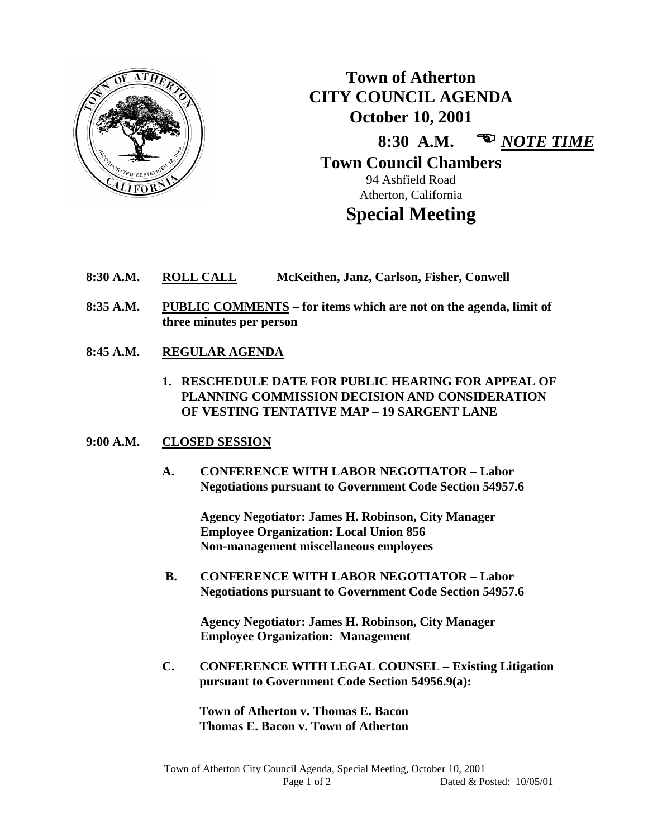

**Town of Atherton CITY COUNCIL AGENDA October 10, 2001 8:30 A.M.**  *NOTE TIME* **Town Council Chambers** 94 Ashfield Road Atherton, California

## **Special Meeting**

- **8:30 A.M. ROLL CALL McKeithen, Janz, Carlson, Fisher, Conwell**
- **8:35 A.M. PUBLIC COMMENTS – for items which are not on the agenda, limit of three minutes per person**
- **8:45 A.M. REGULAR AGENDA**
	- **1. RESCHEDULE DATE FOR PUBLIC HEARING FOR APPEAL OF PLANNING COMMISSION DECISION AND CONSIDERATION OF VESTING TENTATIVE MAP – 19 SARGENT LANE**

## **9:00 A.M. CLOSED SESSION**

**A. CONFERENCE WITH LABOR NEGOTIATOR – Labor Negotiations pursuant to Government Code Section 54957.6**

> **Agency Negotiator: James H. Robinson, City Manager Employee Organization: Local Union 856 Non-management miscellaneous employees**

 **B. CONFERENCE WITH LABOR NEGOTIATOR – Labor Negotiations pursuant to Government Code Section 54957.6**

**Agency Negotiator: James H. Robinson, City Manager Employee Organization: Management**

**C. CONFERENCE WITH LEGAL COUNSEL – Existing Litigation pursuant to Government Code Section 54956.9(a):**

**Town of Atherton v. Thomas E. Bacon Thomas E. Bacon v. Town of Atherton**